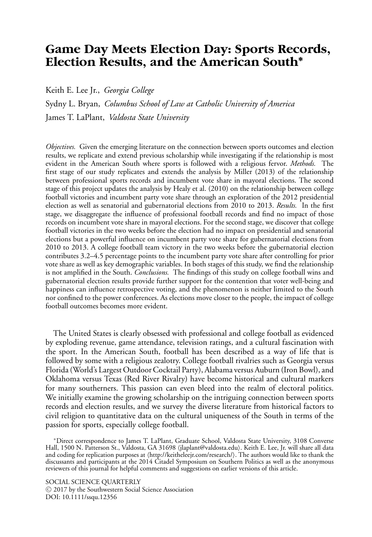# **Game Day Meets Election Day: Sports Records, Election Results, and the American South**∗

Keith E. Lee Jr., *Georgia College*

Sydny L. Bryan, *Columbus School of Law at Catholic University of America* James T. LaPlant, *Valdosta State University*

*Objectives.* Given the emerging literature on the connection between sports outcomes and election results, we replicate and extend previous scholarship while investigating if the relationship is most evident in the American South where sports is followed with a religious fervor. *Methods.* The first stage of our study replicates and extends the analysis by Miller (2013) of the relationship between professional sports records and incumbent vote share in mayoral elections. The second stage of this project updates the analysis by Healy et al. (2010) on the relationship between college football victories and incumbent party vote share through an exploration of the 2012 presidential election as well as senatorial and gubernatorial elections from 2010 to 2013. *Results.* In the first stage, we disaggregate the influence of professional football records and find no impact of those records on incumbent vote share in mayoral elections. For the second stage, we discover that college football victories in the two weeks before the election had no impact on presidential and senatorial elections but a powerful influence on incumbent party vote share for gubernatorial elections from 2010 to 2013. A college football team victory in the two weeks before the gubernatorial election contributes 3.2–4.5 percentage points to the incumbent party vote share after controlling for prior vote share as well as key demographic variables. In both stages of this study, we find the relationship is not amplified in the South. *Conclusions.* The findings of this study on college football wins and gubernatorial election results provide further support for the contention that voter well-being and happiness can influence retrospective voting, and the phenomenon is neither limited to the South nor confined to the power conferences. As elections move closer to the people, the impact of college football outcomes becomes more evident.

The United States is clearly obsessed with professional and college football as evidenced by exploding revenue, game attendance, television ratings, and a cultural fascination with the sport. In the American South, football has been described as a way of life that is followed by some with a religious zealotry. College football rivalries such as Georgia versus Florida (World's Largest Outdoor Cocktail Party), Alabama versus Auburn (Iron Bowl), and Oklahoma versus Texas (Red River Rivalry) have become historical and cultural markers for many southerners. This passion can even bleed into the realm of electoral politics. We initially examine the growing scholarship on the intriguing connection between sports records and election results, and we survey the diverse literature from historical factors to civil religion to quantitative data on the cultural uniqueness of the South in terms of the passion for sports, especially college football.

<sup>∗</sup>Direct correspondence to James T. LaPlant, Graduate School, Valdosta State University, 3108 Converse Hall, 1500 N. Patterson St., Valdosta, GA 31698 ⟨jlaplant@valdosta.edu⟩. Keith E. Lee, Jr. will share all data and coding for replication purposes at ⟨http://keitheleejr.com/research/⟩. The authors would like to thank the discussants and participants at the 2014 Citadel Symposium on Southern Politics as well as the anonymous reviewers of this journal for helpful comments and suggestions on earlier versions of this article.

SOCIAL SCIENCE QUARTERLY ⃝<sup>C</sup> 2017 by the Southwestern Social Science Association DOI: 10.1111/ssqu.12356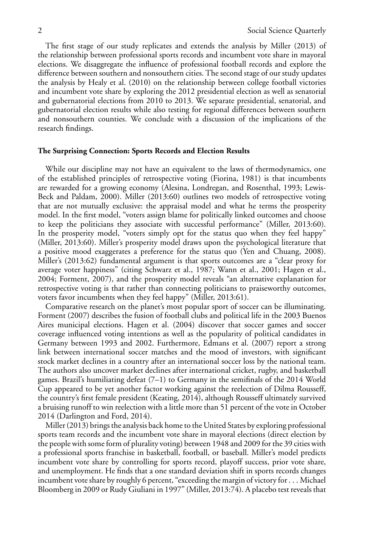The first stage of our study replicates and extends the analysis by Miller (2013) of the relationship between professional sports records and incumbent vote share in mayoral elections. We disaggregate the influence of professional football records and explore the difference between southern and nonsouthern cities. The second stage of our study updates the analysis by Healy et al. (2010) on the relationship between college football victories and incumbent vote share by exploring the 2012 presidential election as well as senatorial and gubernatorial elections from 2010 to 2013. We separate presidential, senatorial, and gubernatorial election results while also testing for regional differences between southern and nonsouthern counties. We conclude with a discussion of the implications of the research findings.

## **The Surprising Connection: Sports Records and Election Results**

While our discipline may not have an equivalent to the laws of thermodynamics, one of the established principles of retrospective voting (Fiorina, 1981) is that incumbents are rewarded for a growing economy (Alesina, Londregan, and Rosenthal, 1993; Lewis-Beck and Paldam, 2000). Miller (2013:60) outlines two models of retrospective voting that are not mutually exclusive: the appraisal model and what he terms the prosperity model. In the first model, "voters assign blame for politically linked outcomes and choose to keep the politicians they associate with successful performance" (Miller, 2013:60). In the prosperity model, "voters simply opt for the status quo when they feel happy" (Miller, 2013:60). Miller's prosperity model draws upon the psychological literature that a positive mood exaggerates a preference for the status quo (Yen and Chuang, 2008). Miller's (2013:62) fundamental argument is that sports outcomes are a "clear proxy for average voter happiness" (citing Schwarz et al., 1987; Wann et al., 2001; Hagen et al., 2004; Forment, 2007), and the prosperity model reveals "an alternative explanation for retrospective voting is that rather than connecting politicians to praiseworthy outcomes, voters favor incumbents when they feel happy" (Miller, 2013:61).

Comparative research on the planet's most popular sport of soccer can be illuminating. Forment (2007) describes the fusion of football clubs and political life in the 2003 Buenos Aires municipal elections. Hagen et al. (2004) discover that soccer games and soccer coverage influenced voting intentions as well as the popularity of political candidates in Germany between 1993 and 2002. Furthermore, Edmans et al. (2007) report a strong link between international soccer matches and the mood of investors, with significant stock market declines in a country after an international soccer loss by the national team. The authors also uncover market declines after international cricket, rugby, and basketball games. Brazil's humiliating defeat (7–1) to Germany in the semifinals of the 2014 World Cup appeared to be yet another factor working against the reelection of Dilma Rousseff, the country's first female president (Keating, 2014), although Rousseff ultimately survived a bruising runoff to win reelection with a little more than 51 percent of the vote in October 2014 (Darlington and Ford, 2014).

Miller (2013) brings the analysis back home to the United States by exploring professional sports team records and the incumbent vote share in mayoral elections (direct election by the people with some form of plurality voting) between 1948 and 2009 for the 39 cities with a professional sports franchise in basketball, football, or baseball. Miller's model predicts incumbent vote share by controlling for sports record, playoff success, prior vote share, and unemployment. He finds that a one standard deviation shift in sports records changes incumbent vote share by roughly 6 percent, "exceeding the margin of victory for . . . Michael Bloomberg in 2009 or Rudy Giuliani in 1997" (Miller, 2013:74). A placebo test reveals that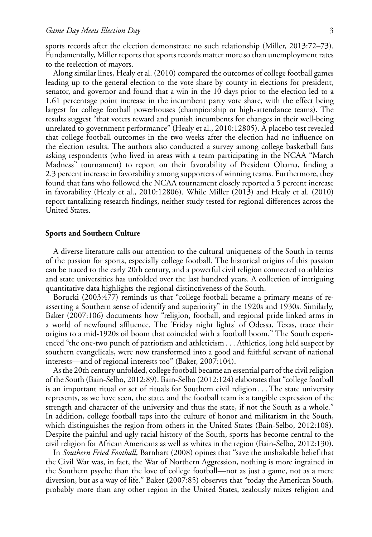sports records after the election demonstrate no such relationship (Miller, 2013:72–73). Fundamentally, Miller reports that sports records matter more so than unemployment rates to the reelection of mayors.

Along similar lines, Healy et al. (2010) compared the outcomes of college football games leading up to the general election to the vote share by county in elections for president, senator, and governor and found that a win in the 10 days prior to the election led to a 1.61 percentage point increase in the incumbent party vote share, with the effect being largest for college football powerhouses (championship or high-attendance teams). The results suggest "that voters reward and punish incumbents for changes in their well-being unrelated to government performance" (Healy et al., 2010:12805). A placebo test revealed that college football outcomes in the two weeks after the election had no influence on the election results. The authors also conducted a survey among college basketball fans asking respondents (who lived in areas with a team participating in the NCAA "March Madness" tournament) to report on their favorability of President Obama, finding a 2.3 percent increase in favorability among supporters of winning teams. Furthermore, they found that fans who followed the NCAA tournament closely reported a 5 percent increase in favorability (Healy et al., 2010:12806). While Miller (2013) and Healy et al. (2010) report tantalizing research findings, neither study tested for regional differences across the United States.

# **Sports and Southern Culture**

A diverse literature calls our attention to the cultural uniqueness of the South in terms of the passion for sports, especially college football. The historical origins of this passion can be traced to the early 20th century, and a powerful civil religion connected to athletics and state universities has unfolded over the last hundred years. A collection of intriguing quantitative data highlights the regional distinctiveness of the South.

Borucki (2003:477) reminds us that "college football became a primary means of reasserting a Southern sense of identify and superiority" in the 1920s and 1930s. Similarly, Baker (2007:106) documents how "religion, football, and regional pride linked arms in a world of newfound affluence. The 'Friday night lights' of Odessa, Texas, trace their origins to a mid-1920s oil boom that coincided with a football boom." The South experienced "the one-two punch of patriotism and athleticism . . . Athletics, long held suspect by southern evangelicals, were now transformed into a good and faithful servant of national interests—and of regional interests too" (Baker, 2007:104).

As the 20th century unfolded, college football became an essential part of the civil religion of the South (Bain-Selbo, 2012:89). Bain-Selbo (2012:124) elaborates that "college football is an important ritual or set of rituals for Southern civil religion . . . The state university represents, as we have seen, the state, and the football team is a tangible expression of the strength and character of the university and thus the state, if not the South as a whole." In addition, college football taps into the culture of honor and militarism in the South, which distinguishes the region from others in the United States (Bain-Selbo, 2012:108). Despite the painful and ugly racial history of the South, sports has become central to the civil religion for African Americans as well as whites in the region (Bain-Selbo, 2012:130).

In *Southern Fried Football*, Barnhart (2008) opines that "save the unshakable belief that the Civil War was, in fact, the War of Northern Aggression, nothing is more ingrained in the Southern psyche than the love of college football—not as just a game, not as a mere diversion, but as a way of life." Baker (2007:85) observes that "today the American South, probably more than any other region in the United States, zealously mixes religion and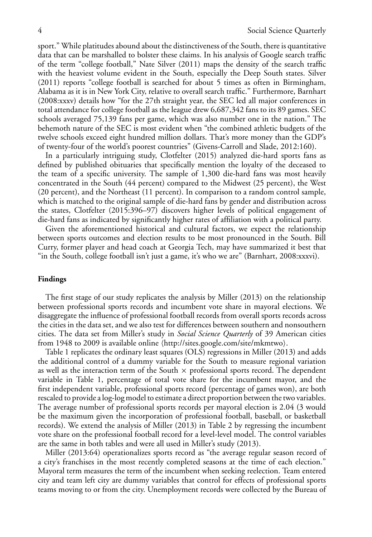sport." While platitudes abound about the distinctiveness of the South, there is quantitative data that can be marshalled to bolster these claims. In his analysis of Google search traffic of the term "college football," Nate Silver (2011) maps the density of the search traffic with the heaviest volume evident in the South, especially the Deep South states. Silver (2011) reports "college football is searched for about 5 times as often in Birmingham, Alabama as it is in New York City, relative to overall search traffic." Furthermore, Barnhart (2008:xxxv) details how "for the 27th straight year, the SEC led all major conferences in total attendance for college football as the league drew 6,687,342 fans to its 89 games. SEC schools averaged 75,139 fans per game, which was also number one in the nation." The behemoth nature of the SEC is most evident when "the combined athletic budgets of the twelve schools exceed eight hundred million dollars. That's more money than the GDP's of twenty-four of the world's poorest countries" (Givens-Carroll and Slade, 2012:160).

In a particularly intriguing study, Clotfelter (2015) analyzed die-hard sports fans as defined by published obituaries that specifically mention the loyalty of the deceased to the team of a specific university. The sample of 1,300 die-hard fans was most heavily concentrated in the South (44 percent) compared to the Midwest (25 percent), the West (20 percent), and the Northeast (11 percent). In comparison to a random control sample, which is matched to the original sample of die-hard fans by gender and distribution across the states, Clotfelter (2015:396–97) discovers higher levels of political engagement of die-hard fans as indicated by significantly higher rates of affiliation with a political party.

Given the aforementioned historical and cultural factors, we expect the relationship between sports outcomes and election results to be most pronounced in the South. Bill Curry, former player and head coach at Georgia Tech, may have summarized it best that "in the South, college football isn't just a game, it's who we are" (Barnhart, 2008:xxxvi).

## **Findings**

The first stage of our study replicates the analysis by Miller (2013) on the relationship between professional sports records and incumbent vote share in mayoral elections. We disaggregate the influence of professional football records from overall sports records across the cities in the data set, and we also test for differences between southern and nonsouthern cities. The data set from Miller's study in *Social Science Quarterly* of 39 American cities from 1948 to 2009 is available online ⟨http://sites.google.com/site/mkmtwo⟩.

Table 1 replicates the ordinary least squares (OLS) regressions in Miller (2013) and adds the additional control of a dummy variable for the South to measure regional variation as well as the interaction term of the South  $\times$  professional sports record. The dependent variable in Table 1, percentage of total vote share for the incumbent mayor, and the first independent variable, professional sports record (percentage of games won), are both rescaled to provide a log-log model to estimate a direct proportion between the two variables. The average number of professional sports records per mayoral election is 2.04 (3 would be the maximum given the incorporation of professional football, baseball, or basketball records). We extend the analysis of Miller (2013) in Table 2 by regressing the incumbent vote share on the professional football record for a level-level model. The control variables are the same in both tables and were all used in Miller's study (2013).

Miller (2013:64) operationalizes sports record as "the average regular season record of a city's franchises in the most recently completed seasons at the time of each election." Mayoral term measures the term of the incumbent when seeking reelection. Team entered city and team left city are dummy variables that control for effects of professional sports teams moving to or from the city. Unemployment records were collected by the Bureau of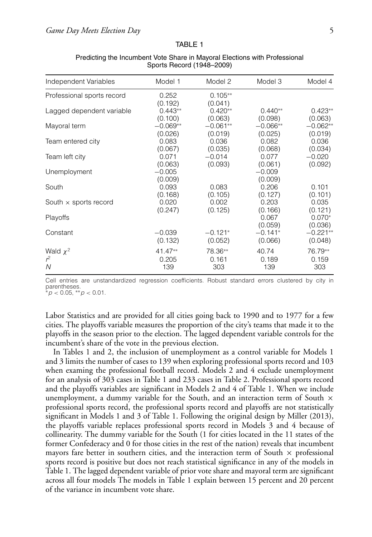#### TABLE 1

| Independent Variables        | Model 1             | Model 2              | Model 3             | Model 4             |
|------------------------------|---------------------|----------------------|---------------------|---------------------|
| Professional sports record   | 0.252<br>(0.192)    | $0.105**$<br>(0.041) |                     |                     |
| Lagged dependent variable    | $0.443**$           | $0.420**$            | $0.440**$           | $0.423**$           |
|                              | (0.100)             | (0.063)              | (0.098)             | (0.063)             |
| Mayoral term                 | $-0.069**$          | $-0.061**$           | $-0.066**$          | $-0.062**$          |
|                              | (0.026)             | (0.019)              | (0.025)             | (0.019)             |
| Team entered city            | 0.083               | 0.036                | 0.082               | 0.036               |
|                              | (0.067)             | (0.035)              | (0.068)             | (0.034)             |
| Team left city               | 0.071               | $-0.014$             | 0.077               | $-0.020$            |
|                              | (0.063)             | (0.093)              | (0.061)             | (0.092)             |
| Unemployment                 | $-0.005$<br>(0.009) |                      | $-0.009$<br>(0.009) |                     |
| South                        | 0.093               | 0.083                | 0.206               | 0.101               |
|                              | (0.168)             | (0.105)              | (0.127)             | (0.101)             |
| South $\times$ sports record | 0.020               | 0.002                | 0.203               | 0.035               |
|                              | (0.247)             | (0.125)              | (0.166)             | (0.121)             |
| Playoffs                     |                     |                      | 0.067<br>(0.059)    | $0.070*$<br>(0.036) |
| Constant                     | $-0.039$            | $-0.121*$            | $-0.141*$           | $-0.221**$          |
|                              | (0.132)             | (0.052)              | (0.066)             | (0.048)             |
| Wald $\chi^2$                | $41.47**$           | 78.36**              | 40.74               | 76.79**             |
| $r^2$                        | 0.205               | 0.161                | 0.189               | 0.159               |
| N                            | 139                 | 303                  | 139                 | 303                 |

# Predicting the Incumbent Vote Share in Mayoral Elections with Professional Sports Record (1948–2009)

Cell entries are unstandardized regression coefficients. Robust standard errors clustered by city in parentheses.

∗*p <* 0.05, ∗∗*p <* 0.01.

Labor Statistics and are provided for all cities going back to 1990 and to 1977 for a few cities. The playoffs variable measures the proportion of the city's teams that made it to the playoffs in the season prior to the election. The lagged dependent variable controls for the incumbent's share of the vote in the previous election.

In Tables 1 and 2, the inclusion of unemployment as a control variable for Models 1 and 3 limits the number of cases to 139 when exploring professional sports record and 103 when examing the professional football record. Models 2 and 4 exclude unemployment for an analysis of 303 cases in Table 1 and 233 cases in Table 2. Professional sports record and the playoffs variables are significant in Models 2 and 4 of Table 1. When we include unemployment, a dummy variable for the South, and an interaction term of South  $\times$ professional sports record, the professional sports record and playoffs are not statistically significant in Models 1 and 3 of Table 1. Following the original design by Miller (2013), the playoffs variable replaces professional sports record in Models 3 and 4 because of collinearity. The dummy variable for the South (1 for cities located in the 11 states of the former Confederacy and 0 for those cities in the rest of the nation) reveals that incumbent mayors fare better in southern cities, and the interaction term of South  $\times$  professional sports record is positive but does not reach statistical significance in any of the models in Table 1. The lagged dependent variable of prior vote share and mayoral term are significant across all four models The models in Table 1 explain between 15 percent and 20 percent of the variance in incumbent vote share.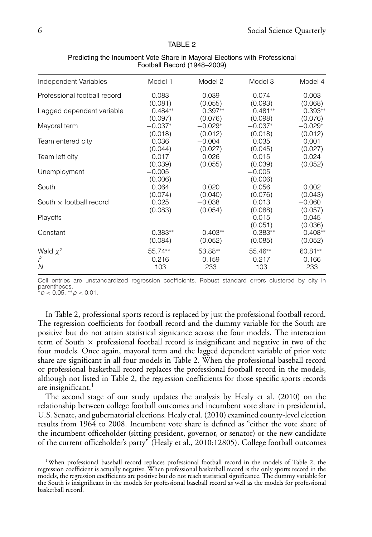#### TABLE 2

| Independent Variables          | Model 1             | Model 2   | Model 3             | Model 4          |
|--------------------------------|---------------------|-----------|---------------------|------------------|
| Professional football record   | 0.083               | 0.039     | 0.074               | 0.003            |
|                                | (0.081)             | (0.055)   | (0.093)             | (0.068)          |
| Lagged dependent variable      | $0.484**$           | $0.397**$ | $0.481**$           | $0.393**$        |
|                                | (0.097)             | (0.076)   | (0.098)             | (0.076)          |
| Mayoral term                   | $-0.037*$           | $-0.029*$ | $-0.037*$           | $-0.029*$        |
|                                | (0.018)             | (0.012)   | (0.018)             | (0.012)          |
| Team entered city              | 0.036               | $-0.004$  | 0.035               | 0.001            |
|                                | (0.044)             | (0.027)   | (0.045)             | (0.027)          |
| Team left city                 | 0.017               | 0.026     | 0.015               | 0.024            |
|                                | (0.039)             | (0.055)   | (0.039)             | (0.052)          |
| Unemployment                   | $-0.005$<br>(0.006) |           | $-0.005$<br>(0.006) |                  |
| South                          | 0.064               | 0.020     | 0.056               | 0.002            |
|                                | (0.074)             | (0.040)   | (0.076)             | (0.043)          |
| South $\times$ football record | 0.025               | $-0.038$  | 0.013               | $-0.060$         |
|                                | (0.083)             | (0.054)   | (0.088)             | (0.057)          |
| Playoffs                       |                     |           | 0.015<br>(0.051)    | 0.045<br>(0.036) |
| Constant                       | $0.383**$           | $0.403**$ | $0.383**$           | $0.408**$        |
|                                | (0.084)             | (0.052)   | (0.085)             | (0.052)          |
| Wald $\chi^2$                  | 55.74**             | 53.88**   | 55.46**             | 60.81**          |
| $r^2$                          | 0.216               | 0.159     | 0.217               | 0.166            |
| N                              | 103                 | 233       | 103                 | 233              |

# Predicting the Incumbent Vote Share in Mayoral Elections with Professional Football Record (1948–2009)

Cell entries are unstandardized regression coefficients. Robust standard errors clustered by city in parentheses.

∗*p <* 0.05, ∗∗*p <* 0.01.

In Table 2, professional sports record is replaced by just the professional football record. The regression coefficients for football record and the dummy variable for the South are positive but do not attain statistical signicance across the four models. The interaction term of South  $\times$  professional football record is insignificant and negative in two of the four models. Once again, mayoral term and the lagged dependent variable of prior vote share are significant in all four models in Table 2. When the professional baseball record or professional basketball record replaces the professional football record in the models, although not listed in Table 2, the regression coefficients for those specific sports records are insignificant. $<sup>1</sup>$ </sup>

The second stage of our study updates the analysis by Healy et al. (2010) on the relationship between college football outcomes and incumbent vote share in presidential, U.S. Senate, and gubernatorial elections. Healy et al. (2010) examined county-level election results from 1964 to 2008. Incumbent vote share is defined as "either the vote share of the incumbent officeholder (sitting president, governor, or senator) or the new candidate of the current officeholder's party" (Healy et al., 2010:12805). College football outcomes

<sup>1</sup>When professional baseball record replaces professional football record in the models of Table 2, the regression coefficient is actually negative. When professional basketball record is the only sports record in the models, the regression coefficients are positive but do not reach statistical significance. The dummy variable for the South is insignificant in the models for professional baseball record as well as the models for professional basketball record.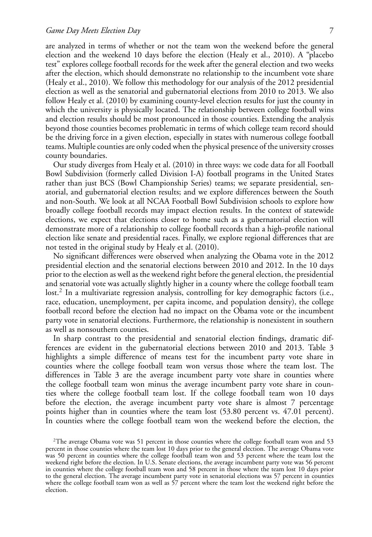are analyzed in terms of whether or not the team won the weekend before the general election and the weekend 10 days before the election (Healy et al., 2010). A "placebo test" explores college football records for the week after the general election and two weeks after the election, which should demonstrate no relationship to the incumbent vote share (Healy et al., 2010). We follow this methodology for our analysis of the 2012 presidential election as well as the senatorial and gubernatorial elections from 2010 to 2013. We also follow Healy et al. (2010) by examining county-level election results for just the county in which the university is physically located. The relationship between college football wins and election results should be most pronounced in those counties. Extending the analysis beyond those counties becomes problematic in terms of which college team record should be the driving force in a given election, especially in states with numerous college football teams. Multiple counties are only coded when the physical presence of the university crosses county boundaries.

Our study diverges from Healy et al. (2010) in three ways: we code data for all Football Bowl Subdivision (formerly called Division I-A) football programs in the United States rather than just BCS (Bowl Championship Series) teams; we separate presidential, senatorial, and gubernatorial election results; and we explore differences between the South and non-South. We look at all NCAA Football Bowl Subdivision schools to explore how broadly college football records may impact election results. In the context of statewide elections, we expect that elections closer to home such as a gubernatorial election will demonstrate more of a relationship to college football records than a high-profile national election like senate and presidential races. Finally, we explore regional differences that are not tested in the original study by Healy et al. (2010).

No significant differences were observed when analyzing the Obama vote in the 2012 presidential election and the senatorial elections between 2010 and 2012. In the 10 days prior to the election as well as the weekend right before the general election, the presidential and senatorial vote was actually slightly higher in a county where the college football team lost.<sup>2</sup> In a multivariate regression analysis, controlling for key demographic factors (i.e., race, education, unemployment, per capita income, and population density), the college football record before the election had no impact on the Obama vote or the incumbent party vote in senatorial elections. Furthermore, the relationship is nonexistent in southern as well as nonsouthern counties.

In sharp contrast to the presidential and senatorial election findings, dramatic differences are evident in the gubernatorial elections between 2010 and 2013. Table 3 highlights a simple difference of means test for the incumbent party vote share in counties where the college football team won versus those where the team lost. The differences in Table 3 are the average incumbent party vote share in counties where the college football team won minus the average incumbent party vote share in counties where the college football team lost. If the college football team won 10 days before the election, the average incumbent party vote share is almost 7 percentage points higher than in counties where the team lost (53.80 percent vs. 47.01 percent). In counties where the college football team won the weekend before the election, the

<sup>&</sup>lt;sup>2</sup>The average Obama vote was 51 percent in those counties where the college football team won and 53 percent in those counties where the team lost 10 days prior to the general election. The average Obama vote was 50 percent in counties where the college football team won and 53 percent where the team lost the weekend right before the election. In U.S. Senate elections, the average incumbent party vote was 56 percent in counties where the college football team won and 58 percent in those where the team lost 10 days prior to the general election. The average incumbent party vote in senatorial elections was 57 percent in counties where the college football team won as well as 57 percent where the team lost the weekend right before the election.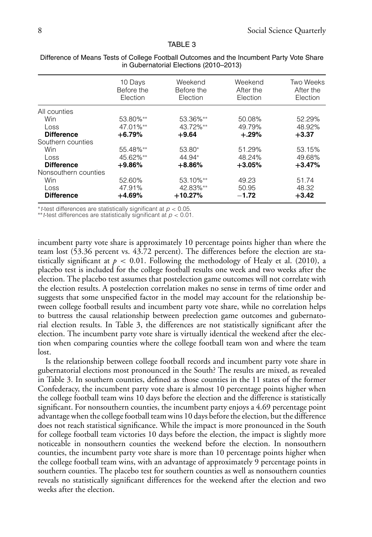#### TABLE 3

|                      | 10 Days<br>Before the<br>Election | Weekend<br>Before the<br>Election | Weekend<br>After the<br>Election | Two Weeks<br>After the<br>Election |
|----------------------|-----------------------------------|-----------------------------------|----------------------------------|------------------------------------|
| All counties         |                                   |                                   |                                  |                                    |
| Win                  | 53.80%**                          | 53.36%**                          | 50.08%                           | 52.29%                             |
| Loss                 | 47.01%**                          | 43.72%**                          | 49.79%                           | 48.92%                             |
| <b>Difference</b>    | $+6.79%$                          | $+9.64$                           | $+.29\%$                         | $+3.37$                            |
| Southern counties    |                                   |                                   |                                  |                                    |
| Win                  | 55.48%**                          | 53.80*                            | 51.29%                           | 53.15%                             |
| Loss                 | 45.62%**                          | 44.94*                            | 48.24%                           | 49.68%                             |
| <b>Difference</b>    | $+9.86%$                          | $+8.86%$                          | $+3.05%$                         | $+3.47%$                           |
| Nonsouthern counties |                                   |                                   |                                  |                                    |
| Win                  | 52.60%                            | 53.10%**                          | 49.23                            | 51.74                              |
| Loss                 | 47.91%                            | 42.83%**                          | 50.95                            | 48.32                              |
| <b>Difference</b>    | $+4.69\%$                         | $+10.27%$                         | $-1.72$                          | $+3.42$                            |

Difference of Means Tests of College Football Outcomes and the Incumbent Party Vote Share in Gubernatorial Elections (2010–2013)

∗*t*-test differences are statistically significant at *p <* 0.05.

∗∗*t*-test differences are statistically significant at *p <* 0.01.

incumbent party vote share is approximately 10 percentage points higher than where the team lost (53.36 percent vs. 43.72 percent). The differences before the election are statistically significant at  $p < 0.01$ . Following the methodology of Healy et al. (2010), a placebo test is included for the college football results one week and two weeks after the election. The placebo test assumes that postelection game outcomes will not correlate with the election results. A postelection correlation makes no sense in terms of time order and suggests that some unspecified factor in the model may account for the relationship between college football results and incumbent party vote share, while no correlation helps to buttress the causal relationship between preelection game outcomes and gubernatorial election results. In Table 3, the differences are not statistically significant after the election. The incumbent party vote share is virtually identical the weekend after the election when comparing counties where the college football team won and where the team lost.

Is the relationship between college football records and incumbent party vote share in gubernatorial elections most pronounced in the South? The results are mixed, as revealed in Table 3. In southern counties, defined as those counties in the 11 states of the former Confederacy, the incumbent party vote share is almost 10 percentage points higher when the college football team wins 10 days before the election and the difference is statistically significant. For nonsouthern counties, the incumbent party enjoys a 4.69 percentage point advantage when the college football team wins 10 days before the election, but the difference does not reach statistical significance. While the impact is more pronounced in the South for college football team victories 10 days before the election, the impact is slightly more noticeable in nonsouthern counties the weekend before the election. In nonsouthern counties, the incumbent party vote share is more than 10 percentage points higher when the college football team wins, with an advantage of approximately 9 percentage points in southern counties. The placebo test for southern counties as well as nonsouthern counties reveals no statistically significant differences for the weekend after the election and two weeks after the election.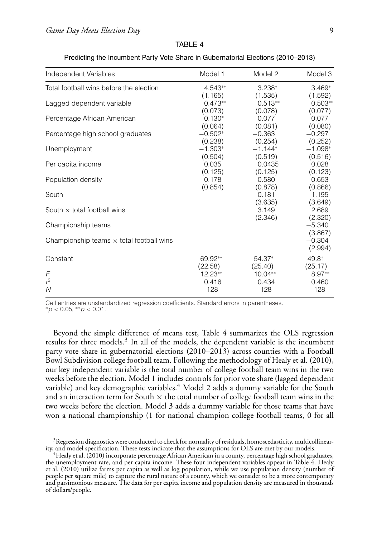| Independent Variables                           | Model 1                         | Model 2                         | Model 3                         |
|-------------------------------------------------|---------------------------------|---------------------------------|---------------------------------|
| Total football wins before the election         | $4.543**$                       | $3.238*$                        | $3.469*$                        |
| Lagged dependent variable                       | (1.165)<br>$0.473**$<br>(0.073) | (1.535)<br>$0.513**$<br>(0.078) | (1.592)<br>$0.503**$<br>(0.077) |
| Percentage African American                     | $0.130*$                        | 0.077                           | 0.077                           |
| Percentage high school graduates                | (0.064)<br>$-0.502*$<br>(0.238) | (0.081)<br>$-0.363$<br>(0.254)  | (0.080)<br>$-0.297$<br>(0.252)  |
| Unemployment                                    | $-1.303*$                       | $-1.144*$                       | $-1.098*$                       |
| Per capita income                               | (0.504)<br>0.035<br>(0.125)     | (0.519)<br>0.0435<br>(0.125)    | (0.516)<br>0.028<br>(0.123)     |
| Population density                              | 0.178                           | 0.580                           | 0.653                           |
| South                                           | (0.854)                         | (0.878)<br>0.181                | (0.866)<br>1.195                |
| South $\times$ total football wins              |                                 | (3.635)<br>3.149                | (3.649)<br>2.689                |
| Championship teams                              |                                 | (2.346)                         | (2.320)<br>$-5.340$<br>(3.867)  |
| Championship teams $\times$ total football wins |                                 |                                 | $-0.304$<br>(2.994)             |
| Constant                                        | 69.92**                         | 54.37*                          | 49.81                           |
| F                                               | (22.58)<br>$12.23**$            | (25.40)<br>$10.04**$            | (25.17)<br>$8.97**$             |
| $r^2$                                           | 0.416                           | 0.434                           | 0.460                           |
| N                                               | 128                             | 128                             | 128                             |

| TABLE 4                                                                          |  |
|----------------------------------------------------------------------------------|--|
| Predicting the Incumbent Party Vote Share in Gubernatorial Elections (2010–2013) |  |

Cell entries are unstandardized regression coefficients. Standard errors in parentheses. ∗*p <* 0.05, ∗∗*p <* 0.01.

Beyond the simple difference of means test, Table 4 summarizes the OLS regression results for three models.<sup>3</sup> In all of the models, the dependent variable is the incumbent party vote share in gubernatorial elections (2010–2013) across counties with a Football Bowl Subdivision college football team. Following the methodology of Healy et al. (2010), our key independent variable is the total number of college football team wins in the two weeks before the election. Model 1 includes controls for prior vote share (lagged dependent variable) and key demographic variables.<sup>4</sup> Model 2 adds a dummy variable for the South and an interaction term for South  $\times$  the total number of college football team wins in the two weeks before the election. Model 3 adds a dummy variable for those teams that have won a national championship (1 for national champion college football teams, 0 for all

<sup>&</sup>lt;sup>3</sup>Regression diagnostics were conducted to check for normality of residuals, homoscedasticity, multicollinear-<br>ity, and model specification. These tests indicate that the assumptions for OLS are met by our models.

 $\rm ^4Healy$  et al. (2010) incorporate percentage African American in a county, percentage high school graduates, the unemployment rate, and per capita income. These four independent variables appear in Table 4. Healy et al. (2010) utilize farms per capita as well as log population, while we use population density (number of people per square mile) to capture the rural nature of a county, which we consider to be a more contemporary and parsimonious measure. The data for per capita income and population density are measured in thousands of dollars/people.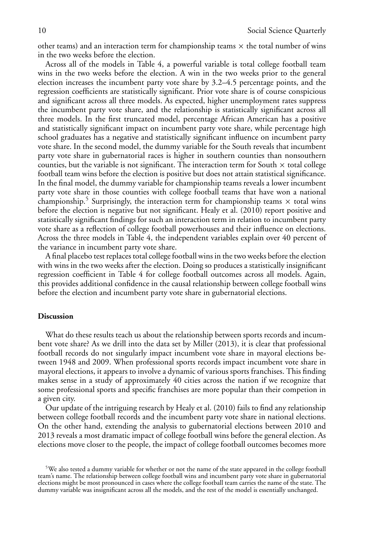other teams) and an interaction term for championship teams  $\times$  the total number of wins in the two weeks before the election.

Across all of the models in Table 4, a powerful variable is total college football team wins in the two weeks before the election. A win in the two weeks prior to the general election increases the incumbent party vote share by 3.2–4.5 percentage points, and the regression coefficients are statistically significant. Prior vote share is of course conspicious and significant across all three models. As expected, higher unemployment rates suppress the incumbent party vote share, and the relationship is statistically significant across all three models. In the first truncated model, percentage African American has a positive and statistically significant impact on incumbent party vote share, while percentage high school graduates has a negative and statistically significant influence on incumbent party vote share. In the second model, the dummy variable for the South reveals that incumbent party vote share in gubernatorial races is higher in southern counties than nonsouthern counties, but the variable is not significant. The interaction term for South  $\times$  total college football team wins before the election is positive but does not attain statistical significance. In the final model, the dummy variable for championship teams reveals a lower incumbent party vote share in those counties with college football teams that have won a national championship.<sup>5</sup> Surprisingly, the interaction term for championship teams  $\times$  total wins before the election is negative but not significant. Healy et al. (2010) report positive and statistically significant findings for such an interaction term in relation to incumbent party vote share as a reflection of college football powerhouses and their influence on elections. Across the three models in Table 4, the independent variables explain over 40 percent of the variance in incumbent party vote share.

A final placebo test replaces total college football wins in the two weeks before the election with wins in the two weeks after the election. Doing so produces a statistically insignificant regression coefficient in Table 4 for college football outcomes across all models. Again, this provides additional confidence in the causal relationship between college football wins before the election and incumbent party vote share in gubernatorial elections.

# **Discussion**

What do these results teach us about the relationship between sports records and incumbent vote share? As we drill into the data set by Miller (2013), it is clear that professional football records do not singularly impact incumbent vote share in mayoral elections between 1948 and 2009. When professional sports records impact incumbent vote share in mayoral elections, it appears to involve a dynamic of various sports franchises. This finding makes sense in a study of approximately 40 cities across the nation if we recognize that some professional sports and specific franchises are more popular than their competion in a given city.

Our update of the intriguing research by Healy et al. (2010) fails to find any relationship between college football records and the incumbent party vote share in national elections. On the other hand, extending the analysis to gubernatorial elections between 2010 and 2013 reveals a most dramatic impact of college football wins before the general election. As elections move closer to the people, the impact of college football outcomes becomes more

<sup>&</sup>lt;sup>5</sup>We also tested a dummy variable for whether or not the name of the state appeared in the college football team's name. The relationship between college football wins and incumbent party vote share in gubernatorial elections might be most pronounced in cases where the college football team carries the name of the state. The dummy variable was insignificant across all the models, and the rest of the model is essentially unchanged.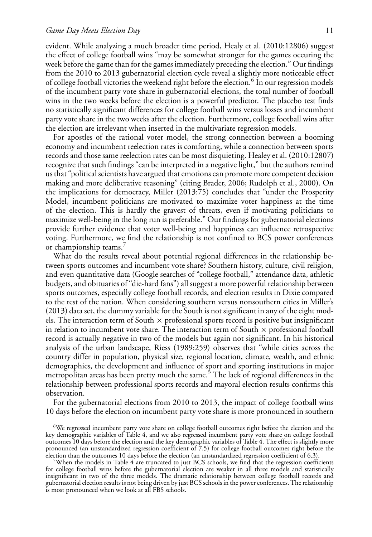evident. While analyzing a much broader time period, Healy et al. (2010:12806) suggest the effect of college football wins "may be somewhat stronger for the games occuring the week before the game than for the games immediately preceding the election." Our findings from the 2010 to 2013 gubernatorial election cycle reveal a slightly more noticeable effect of college football victories the weekend right before the election.<sup>6</sup> In our regression models of the incumbent party vote share in gubernatorial elections, the total number of football wins in the two weeks before the election is a powerful predictor. The placebo test finds no statistically significant differences for college football wins versus losses and incumbent party vote share in the two weeks after the election. Furthermore, college football wins after the election are irrelevant when inserted in the multivariate regression models.

For apostles of the rational voter model, the strong connection between a booming economy and incumbent reelection rates is comforting, while a connection between sports records and those same reelection rates can be most disquieting. Healey et al. (2010:12807) recognize that such findings "can be interpreted in a negative light," but the authors remind us that "political scientists have argued that emotions can promote more competent decision making and more deliberative reasoning" (citing Brader, 2006; Rudolph et al., 2000). On the implications for democracy, Miller (2013:75) concludes that "under the Prosperity Model, incumbent politicians are motivated to maximize voter happiness at the time of the election. This is hardly the gravest of threats, even if motivating politicians to maximize well-being in the long run is preferable." Our findings for gubernatorial elections provide further evidence that voter well-being and happiness can influence retrospective voting. Furthermore, we find the relationship is not confined to BCS power conferences or championship teams.<sup>7</sup>

What do the results reveal about potential regional differences in the relationship between sports outcomes and incumbent vote share? Southern history, culture, civil religion, and even quantitative data (Google searches of "college football," attendance data, athletic budgets, and obituaries of "die-hard fans") all suggest a more powerful relationship between sports outcomes, especially college football records, and election results in Dixie compared to the rest of the nation. When considering southern versus nonsouthern cities in Miller's (2013) data set, the dummy variable for the South is not significant in any of the eight models. The interaction term of South  $\times$  professional sports record is positive but insignificant in relation to incumbent vote share. The interaction term of South  $\times$  professional football record is actually negative in two of the models but again not significant. In his historical analysis of the urban landscape, Riess (1989:259) observes that "while cities across the country differ in population, physical size, regional location, climate, wealth, and ethnic demographics, the development and influence of sport and sporting institutions in major metropolitan areas has been pretty much the same." The lack of regional differences in the relationship between professional sports records and mayoral election results confirms this observation.

For the gubernatorial elections from 2010 to 2013, the impact of college football wins 10 days before the election on incumbent party vote share is more pronounced in southern

6We regressed incumbent party vote share on college football outcomes right before the election and the key demographic variables of Table 4, and we also regressed incumbent party vote share on college football outcomes 10 days before the election and the key demographic variables of Table 4. The effect is slightly more pronounced (an unstandardized regression coefficient of 7.5) for college football outcomes right before the election than the outcomes 10 days before the election (an unstandardized regression coefficient of 6.3). 7When the models in Table 4 are truncated to just BCS schools, we find that the regression coefficients

for college football wins before the gubernatorial election are weaker in all three models and statistically insignificant in two of the three models. The dramatic relationship between college football records and gubernatorial election results is not being driven by just BCS schools in the power conferences. The relationship is most pronounced when we look at all FBS schools.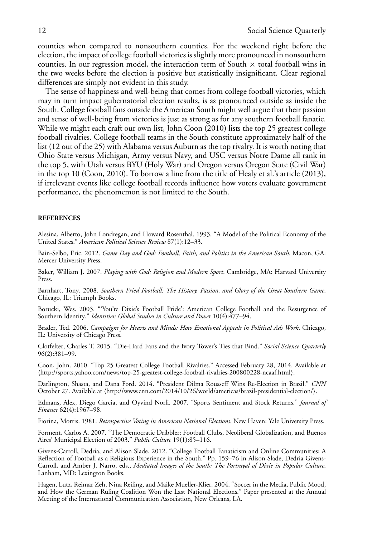counties when compared to nonsouthern counties. For the weekend right before the election, the impact of college football victories is slightly more pronounced in nonsouthern counties. In our regression model, the interaction term of South  $\times$  total football wins in the two weeks before the election is positive but statistically insignificant. Clear regional differences are simply not evident in this study.

The sense of happiness and well-being that comes from college football victories, which may in turn impact gubernatorial election results, is as pronounced outside as inside the South. College football fans outside the American South might well argue that their passion and sense of well-being from victories is just as strong as for any southern football fanatic. While we might each craft our own list, John Coon (2010) lists the top 25 greatest college football rivalries. College football teams in the South constitute approximately half of the list (12 out of the 25) with Alabama versus Auburn as the top rivalry. It is worth noting that Ohio State versus Michigan, Army versus Navy, and USC versus Notre Dame all rank in the top 5, with Utah versus BYU (Holy War) and Oregon versus Oregon State (Civil War) in the top 10 (Coon, 2010). To borrow a line from the title of Healy et al.'s article (2013), if irrelevant events like college football records influence how voters evaluate government performance, the phenomemon is not limited to the South.

#### **REFERENCES**

Alesina, Alberto, John Londregan, and Howard Rosenthal. 1993. "A Model of the Political Economy of the United States." *American Political Science Review* 87(1):12–33.

Bain-Selbo, Eric. 2012. *Game Day and God: Football, Faith, and Politics in the American South*. Macon, GA: Mercer University Press.

Baker, William J. 2007. *Playing with God: Religion and Modern Sport*. Cambridge, MA: Harvard University Press.

Barnhart, Tony. 2008. *Southern Fried Football: The History, Passion, and Glory of the Great Southern Game*. Chicago, IL: Triumph Books.

Borucki, Wes. 2003. "'You're Dixie's Football Pride': American College Football and the Resurgence of Southern Identity." *Identities: Global Studies in Culture and Power* 10(4):477–94.

Brader, Ted. 2006. *Campaigns for Hearts and Minds: How Emotional Appeals in Political Ads Work*. Chicago, IL: University of Chicago Press.

Clotfelter, Charles T. 2015. "Die-Hard Fans and the Ivory Tower's Ties that Bind." *Social Science Quarterly* 96(2):381–99.

Coon, John. 2010. "Top 25 Greatest College Football Rivalries." Accessed February 28, 2014. Available at ⟨http://sports.yahoo.com/news/top-25-greatest-college-football-rivalries-200800228-ncaaf.html⟩.

Darlington, Shasta, and Dana Ford. 2014. "President Dilma Rousseff Wins Re-Election in Brazil." *CNN* October 27. Available at ⟨http://www.cnn.com/2014/10/26/world/americas/brazil-presidential-election/⟩.

Edmans, Alex, Diego Garcia, and Oyvind Norli. 2007. "Sports Sentiment and Stock Returns." *Journal of Finance* 62(4):1967–98.

Fiorina, Morris. 1981. *Retrospective Voting in American National Elections*. New Haven: Yale University Press.

Forment, Carlos A. 2007. "The Democratic Dribbler: Football Clubs, Neoliberal Globalization, and Buenos Aires' Municipal Election of 2003." *Public Culture* 19(1):85–116.

Givens-Carroll, Dedria, and Alison Slade. 2012. "College Football Fanaticism and Online Communities: A Reflection of Football as a Religious Experience in the South." Pp. 159–76 in Alison Slade, Dedria Givens-Carroll, and Amber J. Narro, eds., *Mediated Images of the South: The Portrayal of Dixie in Popular Culture*. Lanham, MD: Lexington Books.

Hagen, Lutz, Reimar Zeh, Nina Reiling, and Maike Mueller-Klier. 2004. "Soccer in the Media, Public Mood, and How the German Ruling Coalition Won the Last National Elections." Paper presented at the Annual Meeting of the International Communication Association, New Orleans, LA.